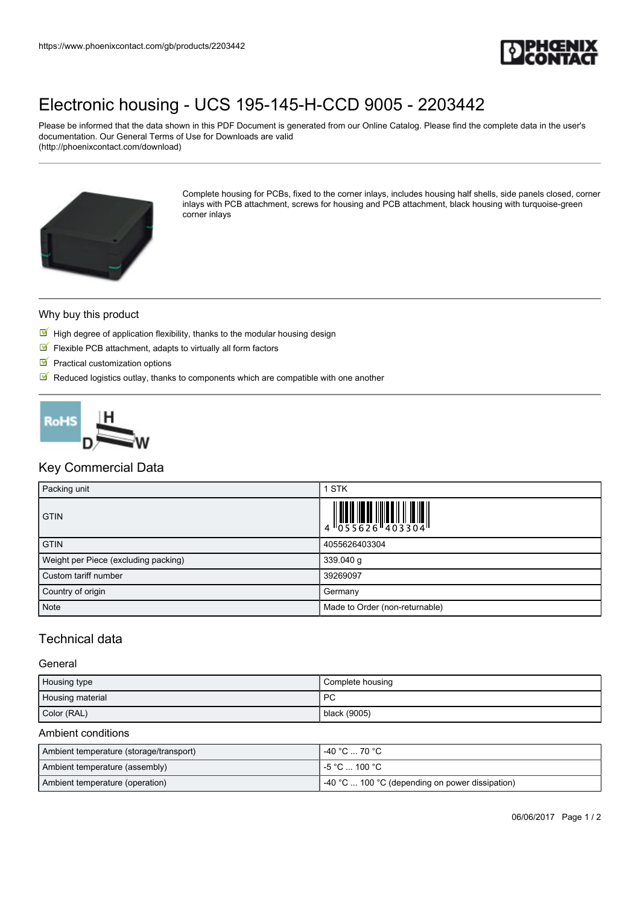

# [Electronic housing - UCS 195-145-H-CCD 9005 - 2203442](https://www.phoenixcontact.com/gb/products/2203442)

Please be informed that the data shown in this PDF Document is generated from our Online Catalog. Please find the complete data in the user's documentation. Our General Terms of Use for Downloads are valid (http://phoenixcontact.com/download)



Complete housing for PCBs, fixed to the corner inlays, includes housing half shells, side panels closed, corner inlays with PCB attachment, screws for housing and PCB attachment, black housing with turquoise-green corner inlays

#### Why buy this product

- $\mathbb F$  High degree of application flexibility, thanks to the modular housing design
- $\blacksquare$  Flexible PCB attachment, adapts to virtually all form factors
- $\blacksquare$  Practical customization options
- $\blacksquare$  Reduced logistics outlay, thanks to components which are compatible with one another



## Key Commercial Data

| Packing unit                         | 1 STK                                                                     |
|--------------------------------------|---------------------------------------------------------------------------|
| <b>GTIN</b>                          | $\begin{array}{c} 1 & 0 & 0 & 0 \\ 0 & 0 & 5 & 5 & 6 & 2 & 6 \end{array}$ |
| <b>GTIN</b>                          | 4055626403304                                                             |
| Weight per Piece (excluding packing) | 339.040 g                                                                 |
| Custom tariff number                 | 39269097                                                                  |
| Country of origin                    | Germany                                                                   |
| <b>Note</b>                          | Made to Order (non-returnable)                                            |

## Technical data

#### **General**

| Housing type     | Complete housing |
|------------------|------------------|
| Housing material | PC               |
| Color (RAL)      | black (9005)     |

#### Ambient conditions

| Ambient temperature (storage/transport) | -40 °C … 70 °C                                        |
|-----------------------------------------|-------------------------------------------------------|
| Ambient temperature (assembly)          | l -5 °C  100 °C .                                     |
| Ambient temperature (operation)         | $\sim$ 40 °C  100 °C (depending on power dissipation) |